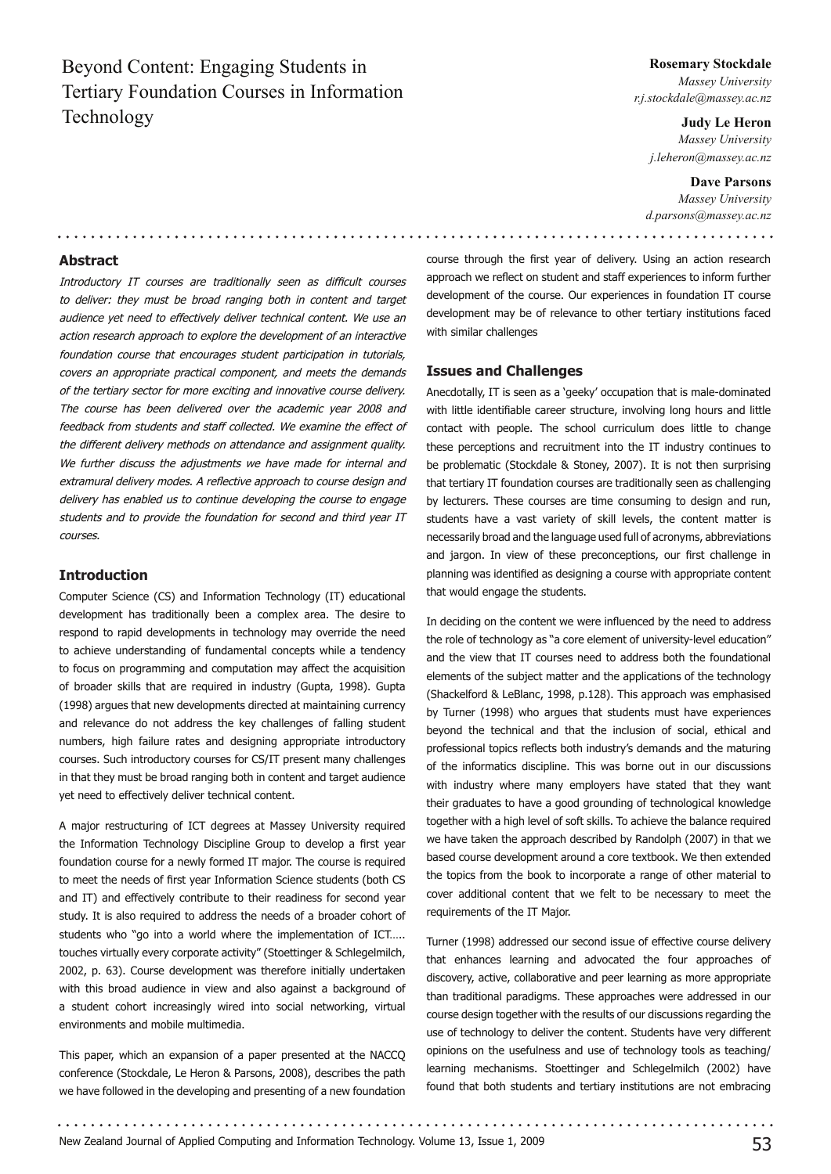# Beyond Content: Engaging Students in Tertiary Foundation Courses in Information Technology

# **Rosemary Stockdale**

*Massey University r.j.stockdale@massey.ac.nz*

# **Judy Le Heron** *Massey University*

*j.leheron@massey.ac.nz*

**Dave Parsons** *Massey University*

*d.parsons@massey.ac.nz* . . . . . . . . . . . . . .

# **Abstract**

Introductory IT courses are traditionally seen as difficult courses to deliver: they must be broad ranging both in content and target audience yet need to effectively deliver technical content. We use an action research approach to explore the development of an interactive foundation course that encourages student participation in tutorials, covers an appropriate practical component, and meets the demands of the tertiary sector for more exciting and innovative course delivery. The course has been delivered over the academic year 2008 and feedback from students and staff collected. We examine the effect of the different delivery methods on attendance and assignment quality. We further discuss the adjustments we have made for internal and extramural delivery modes. A reflective approach to course design and delivery has enabled us to continue developing the course to engage students and to provide the foundation for second and third year IT courses.

#### **Introduction**

Computer Science (CS) and Information Technology (IT) educational development has traditionally been a complex area. The desire to respond to rapid developments in technology may override the need to achieve understanding of fundamental concepts while a tendency to focus on programming and computation may affect the acquisition of broader skills that are required in industry (Gupta, 1998). Gupta (1998) argues that new developments directed at maintaining currency and relevance do not address the key challenges of falling student numbers, high failure rates and designing appropriate introductory courses. Such introductory courses for CS/IT present many challenges in that they must be broad ranging both in content and target audience yet need to effectively deliver technical content.

A major restructuring of ICT degrees at Massey University required the Information Technology Discipline Group to develop a first year foundation course for a newly formed IT major. The course is required to meet the needs of first year Information Science students (both CS and IT) and effectively contribute to their readiness for second year study. It is also required to address the needs of a broader cohort of students who "go into a world where the implementation of ICT….. touches virtually every corporate activity" (Stoettinger & Schlegelmilch, 2002, p. 63). Course development was therefore initially undertaken with this broad audience in view and also against a background of a student cohort increasingly wired into social networking, virtual environments and mobile multimedia.

This paper, which an expansion of a paper presented at the NACCQ conference (Stockdale, Le Heron & Parsons, 2008), describes the path we have followed in the developing and presenting of a new foundation

course through the first year of delivery. Using an action research approach we reflect on student and staff experiences to inform further development of the course. Our experiences in foundation IT course development may be of relevance to other tertiary institutions faced with similar challenges

# **Issues and Challenges**

Anecdotally, IT is seen as a 'geeky' occupation that is male-dominated with little identifiable career structure, involving long hours and little contact with people. The school curriculum does little to change these perceptions and recruitment into the IT industry continues to be problematic (Stockdale & Stoney, 2007). It is not then surprising that tertiary IT foundation courses are traditionally seen as challenging by lecturers. These courses are time consuming to design and run, students have a vast variety of skill levels, the content matter is necessarily broad and the language used full of acronyms, abbreviations and jargon. In view of these preconceptions, our first challenge in planning was identified as designing a course with appropriate content that would engage the students.

In deciding on the content we were influenced by the need to address the role of technology as "a core element of university-level education" and the view that IT courses need to address both the foundational elements of the subject matter and the applications of the technology (Shackelford & LeBlanc, 1998, p.128). This approach was emphasised by Turner (1998) who argues that students must have experiences beyond the technical and that the inclusion of social, ethical and professional topics reflects both industry's demands and the maturing of the informatics discipline. This was borne out in our discussions with industry where many employers have stated that they want their graduates to have a good grounding of technological knowledge together with a high level of soft skills. To achieve the balance required we have taken the approach described by Randolph (2007) in that we based course development around a core textbook. We then extended the topics from the book to incorporate a range of other material to cover additional content that we felt to be necessary to meet the requirements of the IT Major.

Turner (1998) addressed our second issue of effective course delivery that enhances learning and advocated the four approaches of discovery, active, collaborative and peer learning as more appropriate than traditional paradigms. These approaches were addressed in our course design together with the results of our discussions regarding the use of technology to deliver the content. Students have very different opinions on the usefulness and use of technology tools as teaching/ learning mechanisms. Stoettinger and Schlegelmilch (2002) have found that both students and tertiary institutions are not embracing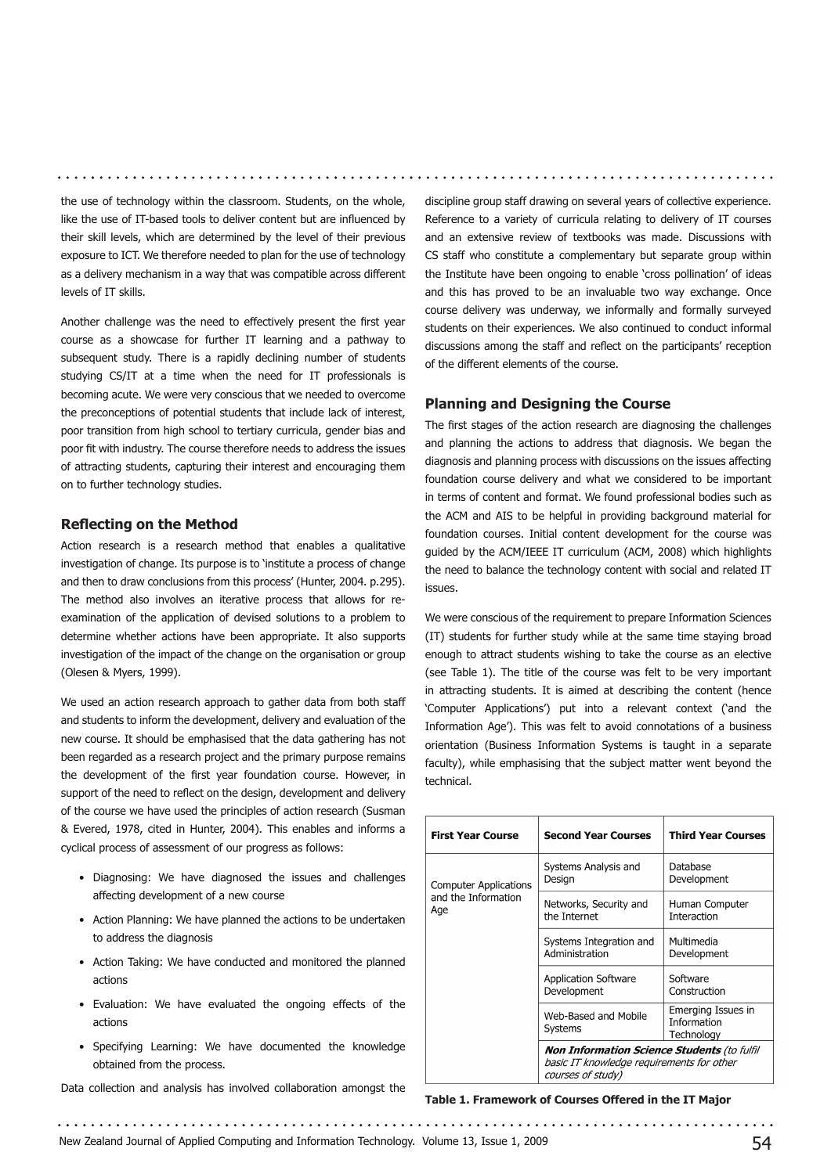the use of technology within the classroom. Students, on the whole, like the use of IT-based tools to deliver content but are influenced by their skill levels, which are determined by the level of their previous exposure to ICT. We therefore needed to plan for the use of technology as a delivery mechanism in a way that was compatible across different levels of IT skills.

Another challenge was the need to effectively present the first year course as a showcase for further IT learning and a pathway to subsequent study. There is a rapidly declining number of students studying CS/IT at a time when the need for IT professionals is becoming acute. We were very conscious that we needed to overcome the preconceptions of potential students that include lack of interest, poor transition from high school to tertiary curricula, gender bias and poor fit with industry. The course therefore needs to address the issues of attracting students, capturing their interest and encouraging them on to further technology studies.

# **Reflecting on the Method**

Action research is a research method that enables a qualitative investigation of change. Its purpose is to 'institute a process of change and then to draw conclusions from this process' (Hunter, 2004. p.295). The method also involves an iterative process that allows for reexamination of the application of devised solutions to a problem to determine whether actions have been appropriate. It also supports investigation of the impact of the change on the organisation or group (Olesen & Myers, 1999).

We used an action research approach to gather data from both staff and students to inform the development, delivery and evaluation of the new course. It should be emphasised that the data gathering has not been regarded as a research project and the primary purpose remains the development of the first year foundation course. However, in support of the need to reflect on the design, development and delivery of the course we have used the principles of action research (Susman & Evered, 1978, cited in Hunter, 2004). This enables and informs a cyclical process of assessment of our progress as follows:

- Diagnosing: We have diagnosed the issues and challenges affecting development of a new course
- Action Planning: We have planned the actions to be undertaken to address the diagnosis
- Action Taking: We have conducted and monitored the planned actions
- Evaluation: We have evaluated the ongoing effects of the actions
- Specifying Learning: We have documented the knowledge obtained from the process.

Data collection and analysis has involved collaboration amongst the

discipline group staff drawing on several years of collective experience. Reference to a variety of curricula relating to delivery of IT courses and an extensive review of textbooks was made. Discussions with CS staff who constitute a complementary but separate group within the Institute have been ongoing to enable 'cross pollination' of ideas and this has proved to be an invaluable two way exchange. Once course delivery was underway, we informally and formally surveyed students on their experiences. We also continued to conduct informal discussions among the staff and reflect on the participants' reception of the different elements of the course.

# **Planning and Designing the Course**

The first stages of the action research are diagnosing the challenges and planning the actions to address that diagnosis. We began the diagnosis and planning process with discussions on the issues affecting foundation course delivery and what we considered to be important in terms of content and format. We found professional bodies such as the ACM and AIS to be helpful in providing background material for foundation courses. Initial content development for the course was guided by the ACM/IEEE IT curriculum (ACM, 2008) which highlights the need to balance the technology content with social and related IT issues.

We were conscious of the requirement to prepare Information Sciences (IT) students for further study while at the same time staying broad enough to attract students wishing to take the course as an elective (see Table 1). The title of the course was felt to be very important in attracting students. It is aimed at describing the content (hence 'Computer Applications') put into a relevant context ('and the Information Age'). This was felt to avoid connotations of a business orientation (Business Information Systems is taught in a separate faculty), while emphasising that the subject matter went beyond the technical.

| <b>First Year Course</b>                                   | <b>Second Year Courses</b>                                                                                           | Third Year Courses                              |
|------------------------------------------------------------|----------------------------------------------------------------------------------------------------------------------|-------------------------------------------------|
| <b>Computer Applications</b><br>and the Information<br>Age | Systems Analysis and<br>Design                                                                                       | Database<br>Development                         |
|                                                            | Networks, Security and<br>the Internet                                                                               | Human Computer<br><b>Interaction</b>            |
|                                                            | Systems Integration and<br>Administration                                                                            | Multimedia<br>Development                       |
|                                                            | <b>Application Software</b><br>Development                                                                           | Software<br>Construction                        |
|                                                            | Web-Based and Mobile<br><b>Systems</b>                                                                               | Emerging Issues in<br>Information<br>Technology |
|                                                            | <b>Non Information Science Students (to fulfil</b><br>basic IT knowledge requirements for other<br>courses of study) |                                                 |

**Table 1. Framework of Courses Offered in the IT Major**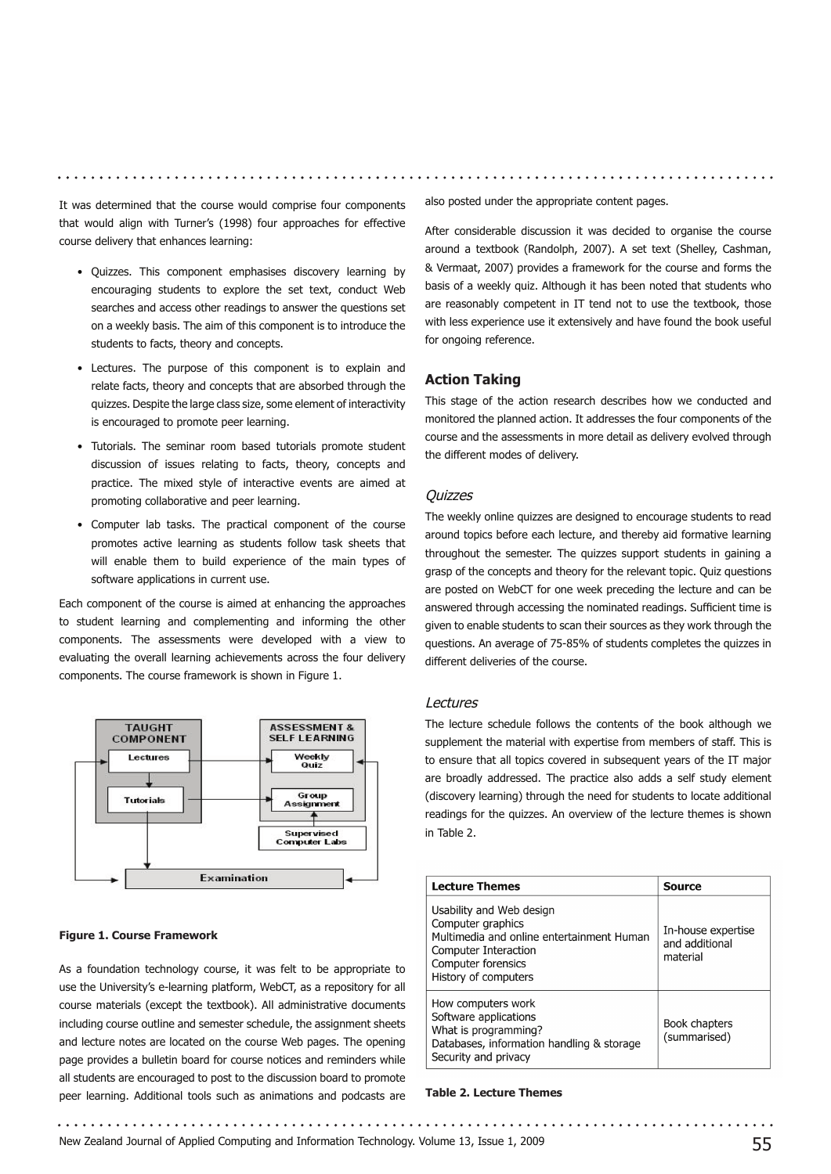It was determined that the course would comprise four components that would align with Turner's (1998) four approaches for effective course delivery that enhances learning:

- Quizzes. This component emphasises discovery learning by encouraging students to explore the set text, conduct Web searches and access other readings to answer the questions set on a weekly basis. The aim of this component is to introduce the students to facts, theory and concepts.
- Lectures. The purpose of this component is to explain and relate facts, theory and concepts that are absorbed through the quizzes. Despite the large class size, some element of interactivity is encouraged to promote peer learning.
- Tutorials. The seminar room based tutorials promote student discussion of issues relating to facts, theory, concepts and practice. The mixed style of interactive events are aimed at promoting collaborative and peer learning.
- Computer lab tasks. The practical component of the course promotes active learning as students follow task sheets that will enable them to build experience of the main types of software applications in current use.

Each component of the course is aimed at enhancing the approaches to student learning and complementing and informing the other components. The assessments were developed with a view to evaluating the overall learning achievements across the four delivery components. The course framework is shown in Figure 1.



#### **Figure 1. Course Framework**

As a foundation technology course, it was felt to be appropriate to use the University's e-learning platform, WebCT, as a repository for all course materials (except the textbook). All administrative documents including course outline and semester schedule, the assignment sheets and lecture notes are located on the course Web pages. The opening page provides a bulletin board for course notices and reminders while all students are encouraged to post to the discussion board to promote peer learning. Additional tools such as animations and podcasts are also posted under the appropriate content pages.

After considerable discussion it was decided to organise the course around a textbook (Randolph, 2007). A set text (Shelley, Cashman, & Vermaat, 2007) provides a framework for the course and forms the basis of a weekly quiz. Although it has been noted that students who are reasonably competent in IT tend not to use the textbook, those with less experience use it extensively and have found the book useful for ongoing reference.

# **Action Taking**

This stage of the action research describes how we conducted and monitored the planned action. It addresses the four components of the course and the assessments in more detail as delivery evolved through the different modes of delivery.

#### **Ouizzes**

The weekly online quizzes are designed to encourage students to read around topics before each lecture, and thereby aid formative learning throughout the semester. The quizzes support students in gaining a grasp of the concepts and theory for the relevant topic. Quiz questions are posted on WebCT for one week preceding the lecture and can be answered through accessing the nominated readings. Sufficient time is given to enable students to scan their sources as they work through the questions. An average of 75-85% of students completes the quizzes in different deliveries of the course.

#### Lectures

The lecture schedule follows the contents of the book although we supplement the material with expertise from members of staff. This is to ensure that all topics covered in subsequent years of the IT major are broadly addressed. The practice also adds a self study element (discovery learning) through the need for students to locate additional readings for the quizzes. An overview of the lecture themes is shown in Table 2.

| <b>Lecture Themes</b>                                                                                                                                            | <b>Source</b>                                    |
|------------------------------------------------------------------------------------------------------------------------------------------------------------------|--------------------------------------------------|
| Usability and Web design<br>Computer graphics<br>Multimedia and online entertainment Human<br>Computer Interaction<br>Computer forensics<br>History of computers | In-house expertise<br>and additional<br>material |
| How computers work<br>Software applications<br>What is programming?<br>Databases, information handling & storage<br>Security and privacy                         | Book chapters<br>(summarised)                    |

# **Table 2. Lecture Themes**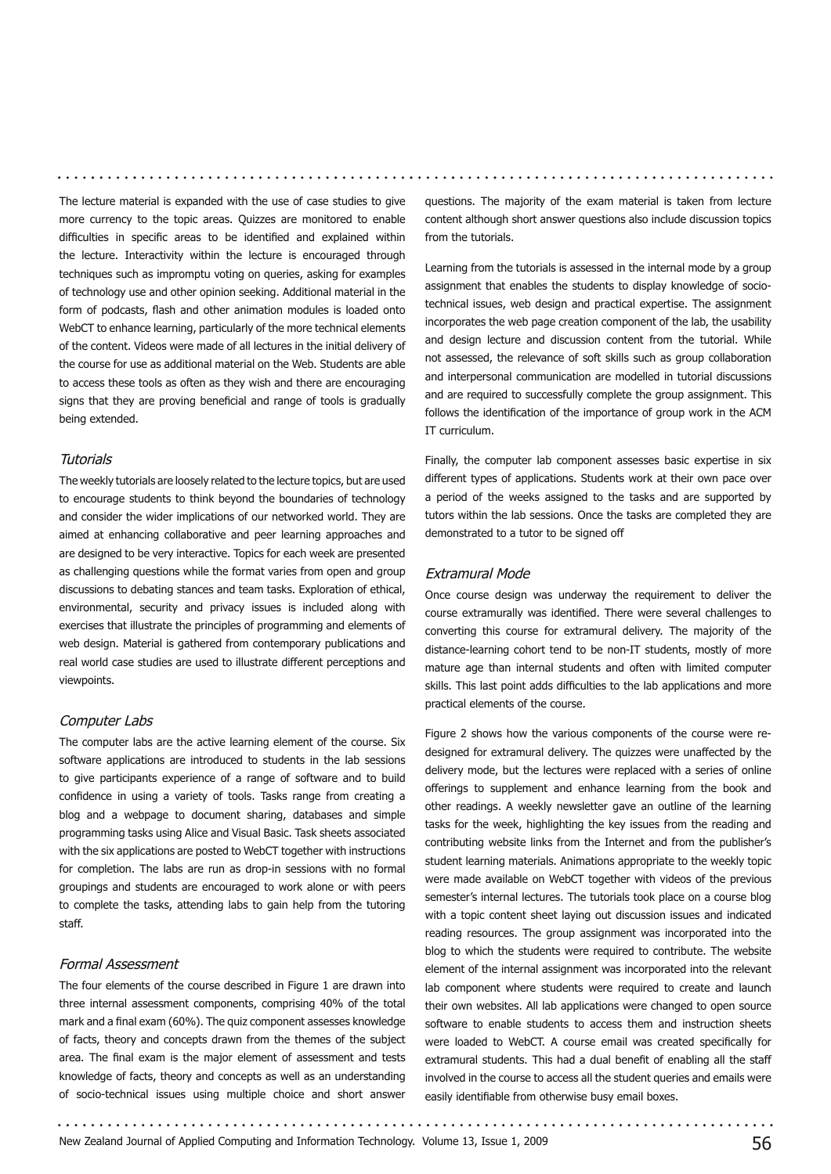The lecture material is expanded with the use of case studies to give more currency to the topic areas. Quizzes are monitored to enable difficulties in specific areas to be identified and explained within the lecture. Interactivity within the lecture is encouraged through techniques such as impromptu voting on queries, asking for examples of technology use and other opinion seeking. Additional material in the form of podcasts, flash and other animation modules is loaded onto WebCT to enhance learning, particularly of the more technical elements of the content. Videos were made of all lectures in the initial delivery of the course for use as additional material on the Web. Students are able to access these tools as often as they wish and there are encouraging signs that they are proving beneficial and range of tools is gradually being extended.

#### **Tutorials**

The weekly tutorials are loosely related to the lecture topics, but are used to encourage students to think beyond the boundaries of technology and consider the wider implications of our networked world. They are aimed at enhancing collaborative and peer learning approaches and are designed to be very interactive. Topics for each week are presented as challenging questions while the format varies from open and group discussions to debating stances and team tasks. Exploration of ethical, environmental, security and privacy issues is included along with exercises that illustrate the principles of programming and elements of web design. Material is gathered from contemporary publications and real world case studies are used to illustrate different perceptions and viewpoints.

#### Computer Labs

The computer labs are the active learning element of the course. Six software applications are introduced to students in the lab sessions to give participants experience of a range of software and to build confidence in using a variety of tools. Tasks range from creating a blog and a webpage to document sharing, databases and simple programming tasks using Alice and Visual Basic. Task sheets associated with the six applications are posted to WebCT together with instructions for completion. The labs are run as drop-in sessions with no formal groupings and students are encouraged to work alone or with peers to complete the tasks, attending labs to gain help from the tutoring staff.

# Formal Assessment

The four elements of the course described in Figure 1 are drawn into three internal assessment components, comprising 40% of the total mark and a final exam (60%). The quiz component assesses knowledge of facts, theory and concepts drawn from the themes of the subject area. The final exam is the major element of assessment and tests knowledge of facts, theory and concepts as well as an understanding of socio-technical issues using multiple choice and short answer

questions. The majority of the exam material is taken from lecture content although short answer questions also include discussion topics from the tutorials.

Learning from the tutorials is assessed in the internal mode by a group assignment that enables the students to display knowledge of sociotechnical issues, web design and practical expertise. The assignment incorporates the web page creation component of the lab, the usability and design lecture and discussion content from the tutorial. While not assessed, the relevance of soft skills such as group collaboration and interpersonal communication are modelled in tutorial discussions and are required to successfully complete the group assignment. This follows the identification of the importance of group work in the ACM IT curriculum.

Finally, the computer lab component assesses basic expertise in six different types of applications. Students work at their own pace over a period of the weeks assigned to the tasks and are supported by tutors within the lab sessions. Once the tasks are completed they are demonstrated to a tutor to be signed off

#### Extramural Mode

Once course design was underway the requirement to deliver the course extramurally was identified. There were several challenges to converting this course for extramural delivery. The majority of the distance-learning cohort tend to be non-IT students, mostly of more mature age than internal students and often with limited computer skills. This last point adds difficulties to the lab applications and more practical elements of the course.

Figure 2 shows how the various components of the course were redesigned for extramural delivery. The quizzes were unaffected by the delivery mode, but the lectures were replaced with a series of online offerings to supplement and enhance learning from the book and other readings. A weekly newsletter gave an outline of the learning tasks for the week, highlighting the key issues from the reading and contributing website links from the Internet and from the publisher's student learning materials. Animations appropriate to the weekly topic were made available on WebCT together with videos of the previous semester's internal lectures. The tutorials took place on a course blog with a topic content sheet laying out discussion issues and indicated reading resources. The group assignment was incorporated into the blog to which the students were required to contribute. The website element of the internal assignment was incorporated into the relevant lab component where students were required to create and launch their own websites. All lab applications were changed to open source software to enable students to access them and instruction sheets were loaded to WebCT. A course email was created specifically for extramural students. This had a dual benefit of enabling all the staff involved in the course to access all the student queries and emails were easily identifiable from otherwise busy email boxes.

New Zealand Journal of Applied Computing and Information Technology. Volume 13, Issue 1, 2009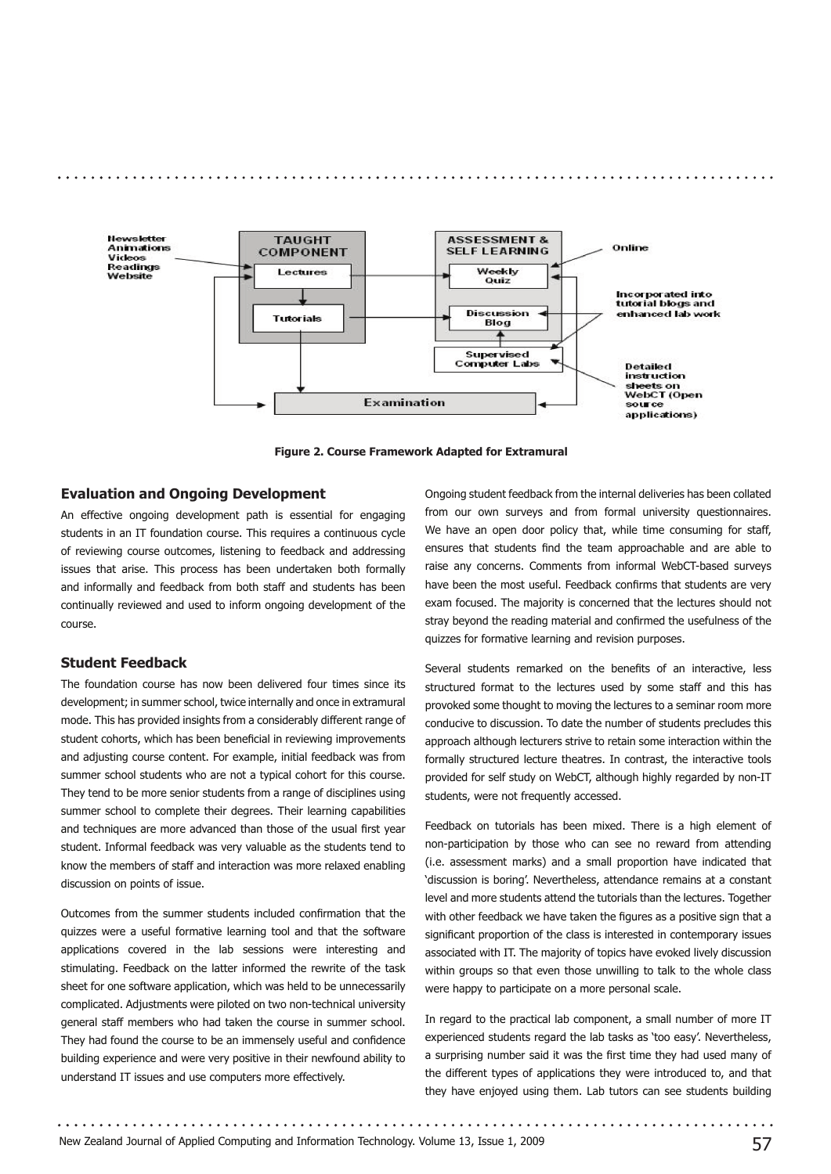

**Figure 2. Course Framework Adapted for Extramural**

#### **Evaluation and Ongoing Development**

An effective ongoing development path is essential for engaging students in an IT foundation course. This requires a continuous cycle of reviewing course outcomes, listening to feedback and addressing issues that arise. This process has been undertaken both formally and informally and feedback from both staff and students has been continually reviewed and used to inform ongoing development of the course.

# **Student Feedback**

The foundation course has now been delivered four times since its development; in summer school, twice internally and once in extramural mode. This has provided insights from a considerably different range of student cohorts, which has been beneficial in reviewing improvements and adjusting course content. For example, initial feedback was from summer school students who are not a typical cohort for this course. They tend to be more senior students from a range of disciplines using summer school to complete their degrees. Their learning capabilities and techniques are more advanced than those of the usual first year student. Informal feedback was very valuable as the students tend to know the members of staff and interaction was more relaxed enabling discussion on points of issue.

Outcomes from the summer students included confirmation that the quizzes were a useful formative learning tool and that the software applications covered in the lab sessions were interesting and stimulating. Feedback on the latter informed the rewrite of the task sheet for one software application, which was held to be unnecessarily complicated. Adjustments were piloted on two non-technical university general staff members who had taken the course in summer school. They had found the course to be an immensely useful and confidence building experience and were very positive in their newfound ability to understand IT issues and use computers more effectively.

Ongoing student feedback from the internal deliveries has been collated from our own surveys and from formal university questionnaires. We have an open door policy that, while time consuming for staff, ensures that students find the team approachable and are able to raise any concerns. Comments from informal WebCT-based surveys have been the most useful. Feedback confirms that students are very exam focused. The majority is concerned that the lectures should not stray beyond the reading material and confirmed the usefulness of the quizzes for formative learning and revision purposes.

Several students remarked on the benefits of an interactive, less structured format to the lectures used by some staff and this has provoked some thought to moving the lectures to a seminar room more conducive to discussion. To date the number of students precludes this approach although lecturers strive to retain some interaction within the formally structured lecture theatres. In contrast, the interactive tools provided for self study on WebCT, although highly regarded by non-IT students, were not frequently accessed.

Feedback on tutorials has been mixed. There is a high element of non-participation by those who can see no reward from attending (i.e. assessment marks) and a small proportion have indicated that 'discussion is boring'. Nevertheless, attendance remains at a constant level and more students attend the tutorials than the lectures. Together with other feedback we have taken the figures as a positive sign that a significant proportion of the class is interested in contemporary issues associated with IT. The majority of topics have evoked lively discussion within groups so that even those unwilling to talk to the whole class were happy to participate on a more personal scale.

In regard to the practical lab component, a small number of more IT experienced students regard the lab tasks as 'too easy'. Nevertheless, a surprising number said it was the first time they had used many of the different types of applications they were introduced to, and that they have enjoyed using them. Lab tutors can see students building

. . . . . . . . . . . . .

New Zealand Journal of Applied Computing and Information Technology. Volume 13, Issue 1, 2009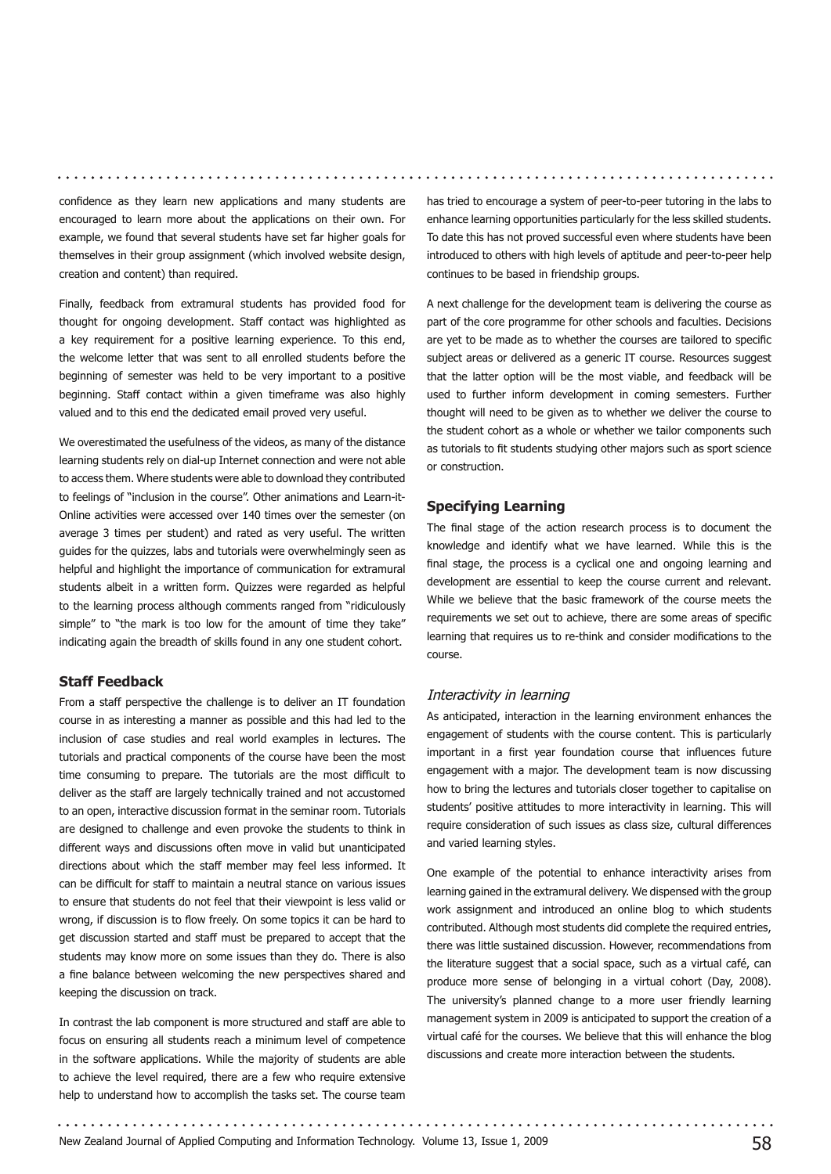confidence as they learn new applications and many students are encouraged to learn more about the applications on their own. For example, we found that several students have set far higher goals for themselves in their group assignment (which involved website design, creation and content) than required.

Finally, feedback from extramural students has provided food for thought for ongoing development. Staff contact was highlighted as a key requirement for a positive learning experience. To this end, the welcome letter that was sent to all enrolled students before the beginning of semester was held to be very important to a positive beginning. Staff contact within a given timeframe was also highly valued and to this end the dedicated email proved very useful.

We overestimated the usefulness of the videos, as many of the distance learning students rely on dial-up Internet connection and were not able to access them. Where students were able to download they contributed to feelings of "inclusion in the course". Other animations and Learn-it-Online activities were accessed over 140 times over the semester (on average 3 times per student) and rated as very useful. The written guides for the quizzes, labs and tutorials were overwhelmingly seen as helpful and highlight the importance of communication for extramural students albeit in a written form. Quizzes were regarded as helpful to the learning process although comments ranged from "ridiculously simple" to "the mark is too low for the amount of time they take" indicating again the breadth of skills found in any one student cohort.

#### **Staff Feedback**

From a staff perspective the challenge is to deliver an IT foundation course in as interesting a manner as possible and this had led to the inclusion of case studies and real world examples in lectures. The tutorials and practical components of the course have been the most time consuming to prepare. The tutorials are the most difficult to deliver as the staff are largely technically trained and not accustomed to an open, interactive discussion format in the seminar room. Tutorials are designed to challenge and even provoke the students to think in different ways and discussions often move in valid but unanticipated directions about which the staff member may feel less informed. It can be difficult for staff to maintain a neutral stance on various issues to ensure that students do not feel that their viewpoint is less valid or wrong, if discussion is to flow freely. On some topics it can be hard to get discussion started and staff must be prepared to accept that the students may know more on some issues than they do. There is also a fine balance between welcoming the new perspectives shared and keeping the discussion on track.

In contrast the lab component is more structured and staff are able to focus on ensuring all students reach a minimum level of competence in the software applications. While the majority of students are able to achieve the level required, there are a few who require extensive help to understand how to accomplish the tasks set. The course team

has tried to encourage a system of peer-to-peer tutoring in the labs to enhance learning opportunities particularly for the less skilled students. To date this has not proved successful even where students have been introduced to others with high levels of aptitude and peer-to-peer help continues to be based in friendship groups.

A next challenge for the development team is delivering the course as part of the core programme for other schools and faculties. Decisions are yet to be made as to whether the courses are tailored to specific subject areas or delivered as a generic IT course. Resources suggest that the latter option will be the most viable, and feedback will be used to further inform development in coming semesters. Further thought will need to be given as to whether we deliver the course to the student cohort as a whole or whether we tailor components such as tutorials to fit students studying other majors such as sport science or construction.

#### **Specifying Learning**

The final stage of the action research process is to document the knowledge and identify what we have learned. While this is the final stage, the process is a cyclical one and ongoing learning and development are essential to keep the course current and relevant. While we believe that the basic framework of the course meets the requirements we set out to achieve, there are some areas of specific learning that requires us to re-think and consider modifications to the course.

#### Interactivity in learning

As anticipated, interaction in the learning environment enhances the engagement of students with the course content. This is particularly important in a first year foundation course that influences future engagement with a major. The development team is now discussing how to bring the lectures and tutorials closer together to capitalise on students' positive attitudes to more interactivity in learning. This will require consideration of such issues as class size, cultural differences and varied learning styles.

One example of the potential to enhance interactivity arises from learning gained in the extramural delivery. We dispensed with the group work assignment and introduced an online blog to which students contributed. Although most students did complete the required entries, there was little sustained discussion. However, recommendations from the literature suggest that a social space, such as a virtual café, can produce more sense of belonging in a virtual cohort (Day, 2008). The university's planned change to a more user friendly learning management system in 2009 is anticipated to support the creation of a virtual café for the courses. We believe that this will enhance the blog discussions and create more interaction between the students.

New Zealand Journal of Applied Computing and Information Technology. Volume 13, Issue 1, 2009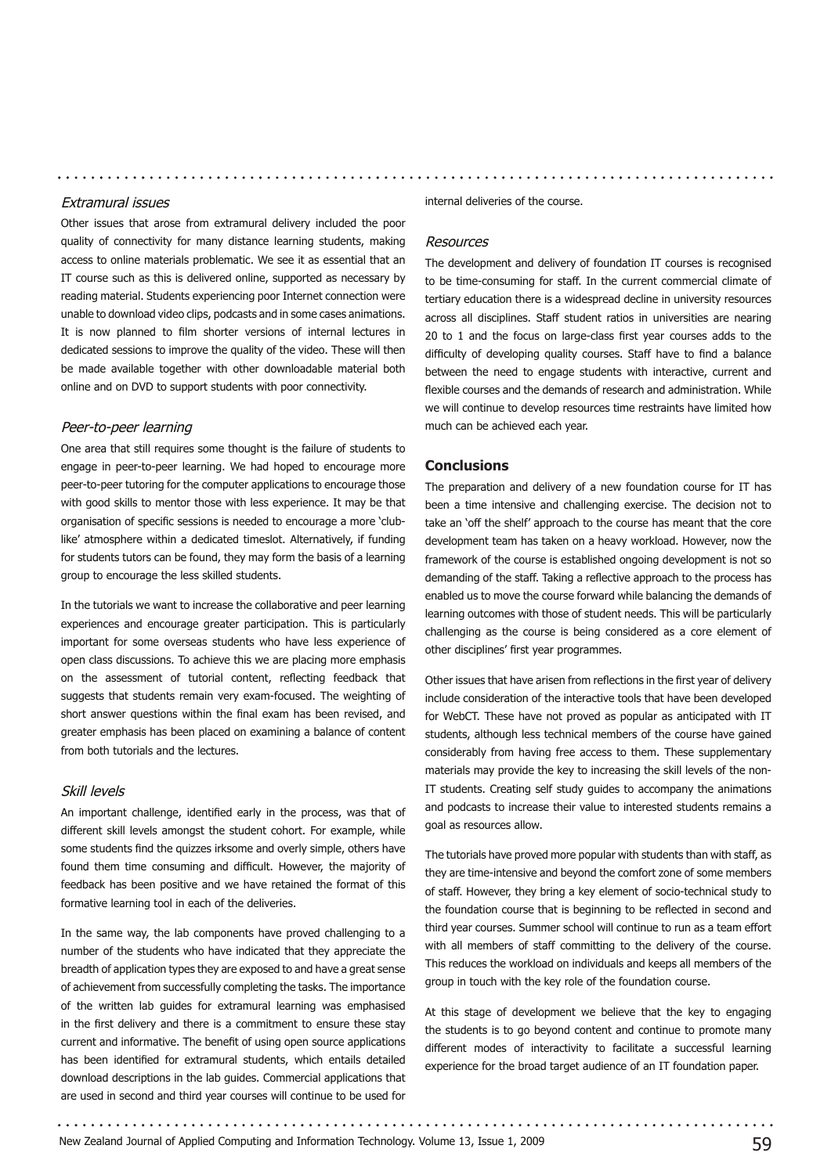#### Extramural issues

Other issues that arose from extramural delivery included the poor quality of connectivity for many distance learning students, making access to online materials problematic. We see it as essential that an IT course such as this is delivered online, supported as necessary by reading material. Students experiencing poor Internet connection were unable to download video clips, podcasts and in some cases animations. It is now planned to film shorter versions of internal lectures in dedicated sessions to improve the quality of the video. These will then be made available together with other downloadable material both online and on DVD to support students with poor connectivity.

#### Peer-to-peer learning

One area that still requires some thought is the failure of students to engage in peer-to-peer learning. We had hoped to encourage more peer-to-peer tutoring for the computer applications to encourage those with good skills to mentor those with less experience. It may be that organisation of specific sessions is needed to encourage a more 'clublike' atmosphere within a dedicated timeslot. Alternatively, if funding for students tutors can be found, they may form the basis of a learning group to encourage the less skilled students.

In the tutorials we want to increase the collaborative and peer learning experiences and encourage greater participation. This is particularly important for some overseas students who have less experience of open class discussions. To achieve this we are placing more emphasis on the assessment of tutorial content, reflecting feedback that suggests that students remain very exam-focused. The weighting of short answer questions within the final exam has been revised, and greater emphasis has been placed on examining a balance of content from both tutorials and the lectures.

# Skill levels

An important challenge, identified early in the process, was that of different skill levels amongst the student cohort. For example, while some students find the quizzes irksome and overly simple, others have found them time consuming and difficult. However, the majority of feedback has been positive and we have retained the format of this formative learning tool in each of the deliveries.

In the same way, the lab components have proved challenging to a number of the students who have indicated that they appreciate the breadth of application types they are exposed to and have a great sense of achievement from successfully completing the tasks. The importance of the written lab guides for extramural learning was emphasised in the first delivery and there is a commitment to ensure these stay current and informative. The benefit of using open source applications has been identified for extramural students, which entails detailed download descriptions in the lab guides. Commercial applications that are used in second and third year courses will continue to be used for

internal deliveries of the course.

#### Resources

The development and delivery of foundation IT courses is recognised to be time-consuming for staff. In the current commercial climate of tertiary education there is a widespread decline in university resources across all disciplines. Staff student ratios in universities are nearing 20 to 1 and the focus on large-class first year courses adds to the difficulty of developing quality courses. Staff have to find a balance between the need to engage students with interactive, current and flexible courses and the demands of research and administration. While we will continue to develop resources time restraints have limited how much can be achieved each year.

. . . . . . . . . . . . . . . . . . .

# **Conclusions**

The preparation and delivery of a new foundation course for IT has been a time intensive and challenging exercise. The decision not to take an 'off the shelf' approach to the course has meant that the core development team has taken on a heavy workload. However, now the framework of the course is established ongoing development is not so demanding of the staff. Taking a reflective approach to the process has enabled us to move the course forward while balancing the demands of learning outcomes with those of student needs. This will be particularly challenging as the course is being considered as a core element of other disciplines' first year programmes.

Other issues that have arisen from reflections in the first year of delivery include consideration of the interactive tools that have been developed for WebCT. These have not proved as popular as anticipated with IT students, although less technical members of the course have gained considerably from having free access to them. These supplementary materials may provide the key to increasing the skill levels of the non-IT students. Creating self study guides to accompany the animations and podcasts to increase their value to interested students remains a goal as resources allow.

The tutorials have proved more popular with students than with staff, as they are time-intensive and beyond the comfort zone of some members of staff. However, they bring a key element of socio-technical study to the foundation course that is beginning to be reflected in second and third year courses. Summer school will continue to run as a team effort with all members of staff committing to the delivery of the course. This reduces the workload on individuals and keeps all members of the group in touch with the key role of the foundation course.

At this stage of development we believe that the key to engaging the students is to go beyond content and continue to promote many different modes of interactivity to facilitate a successful learning experience for the broad target audience of an IT foundation paper.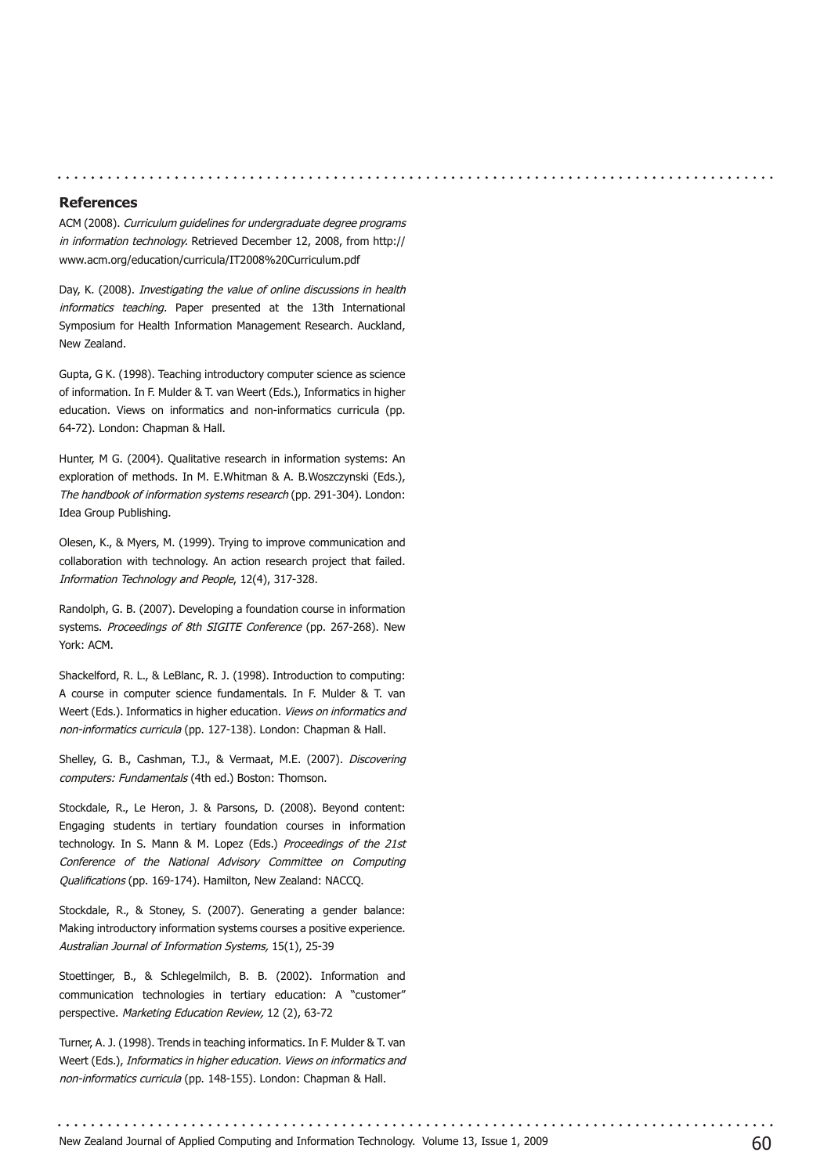#### **References**

ACM (2008). Curriculum guidelines for undergraduate degree programs in information technology. Retrieved December 12, 2008, from http:// www.acm.org/education/curricula/IT2008%20Curriculum.pdf

Day, K. (2008). Investigating the value of online discussions in health informatics teaching. Paper presented at the 13th International Symposium for Health Information Management Research. Auckland, New Zealand.

Gupta, G K. (1998). Teaching introductory computer science as science of information. In F. Mulder & T. van Weert (Eds.), Informatics in higher education. Views on informatics and non-informatics curricula (pp. 64-72). London: Chapman & Hall.

Hunter, M G. (2004). Qualitative research in information systems: An exploration of methods. In M. E.Whitman & A. B.Woszczynski (Eds.), The handbook of information systems research (pp. 291-304). London: Idea Group Publishing.

Olesen, K., & Myers, M. (1999). Trying to improve communication and collaboration with technology. An action research project that failed. Information Technology and People, 12(4), 317-328.

Randolph, G. B. (2007). Developing a foundation course in information systems. Proceedings of 8th SIGITE Conference (pp. 267-268). New York: ACM.

Shackelford, R. L., & LeBlanc, R. J. (1998). Introduction to computing: A course in computer science fundamentals. In F. Mulder & T. van Weert (Eds.). Informatics in higher education. Views on informatics and non-informatics curricula (pp. 127-138). London: Chapman & Hall.

Shelley, G. B., Cashman, T.J., & Vermaat, M.E. (2007). Discovering computers: Fundamentals (4th ed.) Boston: Thomson.

Stockdale, R., Le Heron, J. & Parsons, D. (2008). Beyond content: Engaging students in tertiary foundation courses in information technology. In S. Mann & M. Lopez (Eds.) Proceedings of the 21st Conference of the National Advisory Committee on Computing Qualifications (pp. 169-174). Hamilton, New Zealand: NACCQ.

Stockdale, R., & Stoney, S. (2007). Generating a gender balance: Making introductory information systems courses a positive experience. Australian Journal of Information Systems, 15(1), 25-39

Stoettinger, B., & Schlegelmilch, B. B. (2002). Information and communication technologies in tertiary education: A "customer" perspective. Marketing Education Review, 12 (2), 63-72

Turner, A. J. (1998). Trends in teaching informatics. In F. Mulder & T. van Weert (Eds.), Informatics in higher education. Views on informatics and non-informatics curricula (pp. 148-155). London: Chapman & Hall.